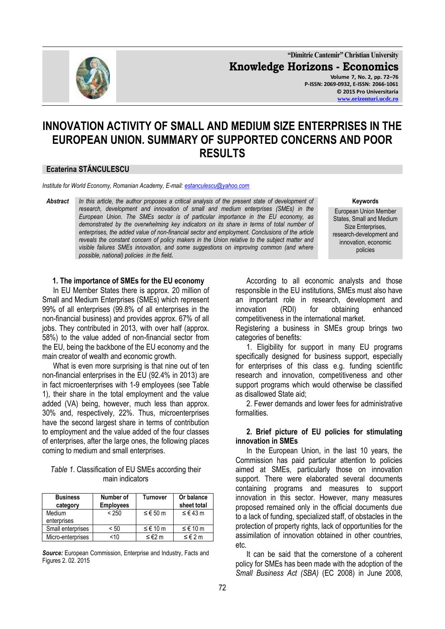

**"Dimitrie Cantemir" Christian University Knowledge Horizons - Economics Volume 7, No. 2, pp. 72–76 P-ISSN: 2069-0932, E-ISSN: 2066-1061 © 2015 Pro Universitaria [www.orizonturi.ucdc.ro](http://www.orizonturi.ucdc.ro/)**

# **INNOVATION ACTIVITY OF SMALL AND MEDIUM SIZE ENTERPRISES IN THE EUROPEAN UNION. SUMMARY OF SUPPORTED CONCERNS AND POOR RESULTS**

#### **Ecaterina STĂNCULESCU**

*Institute for World Economy, Romanian Academy, E-mail: estanculescu@yahoo.com* 

*Abstract In this article, the author proposes a critical analysis of the present state of development of research, development and innovation of small and medium enterprises (SMEs) in the European Union. The SMEs sector is of particular importance in the EU economy, as demonstrated by the overwhelming key indicators on its share in terms of total number of enterprises, the added value of non-financial sector and employment. Conclusions of the article reveals the constant concern of policy makers in the Union relative to the subject matter and visible failures SMEs innovation, and some suggestions on improving common (and where possible, national) policies in the field.*

#### **Keywords**

European Union Member States, Small and Medium Size Enterprises, research-development and innovation, economic policies

#### **1. The importance of SMEs for the EU economy**

In EU Member States there is approx. 20 million of Small and Medium Enterprises (SMEs) which represent 99% of all enterprises (99.8% of all enterprises in the non-financial business) and provides approx. 67% of all jobs. They contributed in 2013, with over half (approx. 58%) to the value added of non-financial sector from the EU, being the backbone of the EU economy and the main creator of wealth and economic growth.

What is even more surprising is that nine out of ten non-financial enterprises in the EU (92.4% in 2013) are in fact microenterprises with 1-9 employees (see Table 1), their share in the total employment and the value added (VA) being, however, much less than approx. 30% and, respectively, 22%. Thus, microenterprises have the second largest share in terms of contribution to employment and the value added of the four classes of enterprises, after the large ones, the following places coming to medium and small enterprises.

### *Table 1*. Classification of EU SMEs according their main indicators

| <b>Business</b><br>category | Number of<br><b>Employees</b> | Turnover | Or balance<br>sheet total |
|-----------------------------|-------------------------------|----------|---------------------------|
| Medium<br>enterprises       | < 250                         | ≤ € 50 m | ≤ € 43 m                  |
| Small enterprises           | < 50                          | ≤ € 10 m | ≤ € 10 m                  |
| Micro-enterprises           | <10                           | ≤ €2 m   | ≤€2m                      |

*Source:* European Commission, Enterprise and Industry, Facts and Figures 2. 02. 2015

According to all economic analysts and those responsible in the EU institutions, SMEs must also have an important role in research, development and innovation (RDI) for obtaining enhanced competitiveness in the international market.

Registering a business in SMEs group brings two categories of benefits:

1. Eligibility for support in many EU programs specifically designed for business support, especially for enterprises of this class e.g. funding scientific research and innovation, competitiveness and other support programs which would otherwise be classified as disallowed State aid;

2. Fewer demands and lower fees for administrative formalities.

#### **2. Brief picture of EU policies for stimulating innovation in SMEs**

In the European Union, in the last 10 years, the Commission has paid particular attention to policies aimed at SMEs, particularly those on innovation support. There were elaborated several documents containing programs and measures to support innovation in this sector. However, many measures proposed remained only in the official documents due to a lack of funding, specialized staff, of obstacles in the protection of property rights, lack of opportunities for the assimilation of innovation obtained in other countries, etc.

It can be said that the cornerstone of a coherent policy for SMEs has been made with the adoption of the *Small Business Act (SBA)* (EC 2008) in June 2008,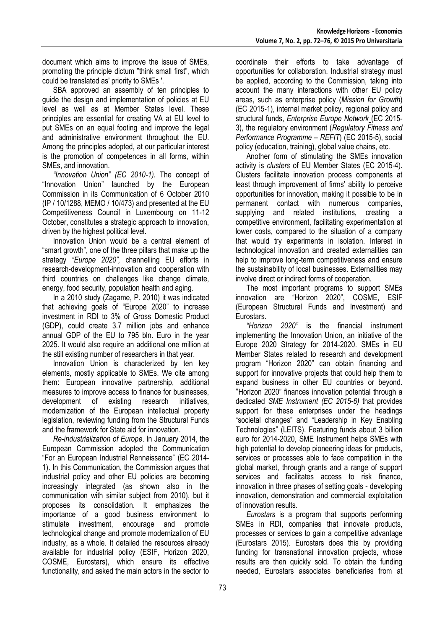document which aims to improve the issue of SMEs, promoting the principle dictum "think small first", which could be translated as' priority to SMEs '.

SBA approved an assembly of ten principles to guide the design and implementation of policies at EU level as well as at Member States level. These principles are essential for creating VA at EU level to put SMEs on an equal footing and improve the legal and administrative environment throughout the EU. Among the principles adopted, at our particular interest is the promotion of competences in all forms, within SMEs, and innovation.

*"Innovation Union" (EC 2010-1).* The concept of "Innovation Union" launched by the European Commission in its Communication of 6 October 2010 (IP / 10/1288, MEMO / 10/473) and presented at the EU Competitiveness Council in Luxembourg on 11-12 October, constitutes a strategic approach to innovation, driven by the highest political level.

Innovation Union would be a central element of "smart growth", one of the three pillars that make up the strategy *"Europe 2020",* channelling EU efforts in research-development-innovation and cooperation with third countries on challenges like change climate, energy, food security, population health and aging.

In a 2010 study (Zagame, P. 2010) it was indicated that achieving goals of "Europe 2020" to increase investment in RDI to 3% of Gross Domestic Product (GDP), could create 3.7 million jobs and enhance annual GDP of the EU to 795 bln. Euro in the year 2025. It would also require an additional one million at the still existing number of researchers in that year.

Innovation Union is characterized by ten key elements, mostly applicable to SMEs. We cite among them: European innovative partnership, additional measures to improve access to finance for businesses, development of existing research initiatives, modernization of the European intellectual property legislation, reviewing funding from the Structural Funds and the framework for State aid for innovation.

*Re-industrialization of Europe*. In January 2014, the European Commission adopted the Communication "For an European Industrial Rennaissance" (EC 2014- 1). In this Communication, the Commission argues that industrial policy and other EU policies are becoming increasingly integrated (as shown also in the communication with similar subject from 2010), but it proposes its consolidation. It emphasizes the importance of a good business environment to stimulate investment, encourage and promote technological change and promote modernization of EU industry, as a whole. It detailed the resources already available for industrial policy (ESIF, Horizon 2020, COSME, Eurostars), which ensure its effective functionality, and asked the main actors in the sector to

coordinate their efforts to take advantage of opportunities for collaboration. Industrial strategy must be applied, according to the Commission, taking into account the many interactions with other EU policy areas, such as enterprise policy (*Mission for Growth*) (EC 2015-1), internal market policy, regional policy and structural funds, *Enterprise Europe Network* (EC 2015- 3), the regulatory environment (*Regulatory Fitness and Performance Programme – REFIT*) (EC 2015-5), social policy (education, training), global value chains, etc.

Another form of stimulating the SMEs innovation activity is *clusters* of EU Member States (EC 2015-4). Clusters facilitate innovation process components at least through improvement of firms' ability to perceive opportunities for innovation, making it possible to be in permanent contact with numerous companies, supplying and related institutions, creating a competitive environment, facilitating experimentation at lower costs, compared to the situation of a company that would try experiments in isolation. Interest in technological innovation and created externalities can help to improve long-term competitiveness and ensure the sustainability of local businesses. Externalities may involve direct or indirect forms of cooperation.

The most important programs to support SMEs innovation are "Horizon 2020", COSME, ESIF (European Structural Funds and Investment) and Eurostars.

*"Horizon 2020"* is the financial instrument implementing the Innovation Union, an initiative of the Europe 2020 Strategy for 2014-2020. SMEs in EU Member States related to research and development program "Horizon 2020" can obtain financing and support for innovative projects that could help them to expand business in other EU countries or beyond. "Horizon 2020" finances innovation potential through a dedicated *SME Instrument (EC 2015-6)* that provides support for these enterprises under the headings "societal changes" and "Leadership in Key Enabling Technologies" (LEITS). Featuring funds about 3 billion euro for 2014-2020, SME Instrument helps SMEs with high potential to develop pioneering ideas for products, services or processes able to face competition in the global market, through grants and a range of support services and facilitates access to risk finance, innovation in three phases of setting goals - developing innovation, demonstration and commercial exploitation of innovation results.

*Eurostars* is a program that supports performing SMEs in RDI, companies that innovate products, processes or services to gain a competitive advantage (Eurostars 2015). Eurostars does this by providing funding for transnational innovation projects, whose results are then quickly sold. To obtain the funding needed, Eurostars associates beneficiaries from at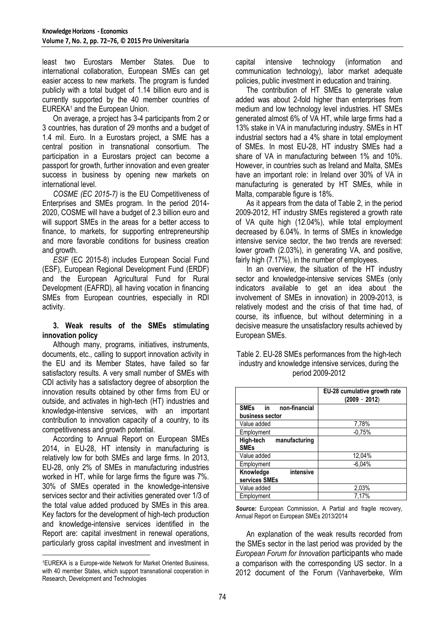least two Eurostars Member States. Due to international collaboration, European SMEs can get easier access to new markets. The program is funded publicly with a total budget of 1.14 billion euro and is currently supported by the 40 member countries of EUREKA<sup>1</sup> and the European Union.

On average, a project has 3-4 participants from 2 or 3 countries, has duration of 29 months and a budget of 1.4 mil. Euro. In a Eurostars project, a SME has a central position in transnational consortium. The participation in a Eurostars project can become a passport for growth, further innovation and even greater success in business by opening new markets on international level.

*COSME (EC 2015-7)* is the EU Competitiveness of Enterprises and SMEs program. In the period 2014- 2020, COSME will have a budget of 2.3 billion euro and will support SMEs in the areas for a better access to finance, to markets, for supporting entrepreneurship and more favorable conditions for business creation and growth.

*ESIF* (EC 2015-8) includes European Social Fund (ESF), European Regional Development Fund (ERDF) and the European Agricultural Fund for Rural Development (EAFRD), all having vocation in financing SMEs from European countries, especially in RDI activity.

# **3. Weak results of the SMEs stimulating innovation policy**

Although many, programs, initiatives, instruments, documents, etc., calling to support innovation activity in the EU and its Member States, have failed so far satisfactory results. A very small number of SMEs with CDI activity has a satisfactory degree of absorption the innovation results obtained by other firms from EU or outside, and activates in high-tech (HT) industries and knowledge-intensive services, with an important contribution to innovation capacity of a country, to its competitiveness and growth potential.

According to Annual Report on European SMEs 2014, in EU-28, HT intensity in manufacturing is relatively low for both SMEs and large firms. In 2013, EU-28, only 2% of SMEs in manufacturing industries worked in HT, while for large firms the figure was 7%. 30% of SMEs operated in the knowledge-intensive services sector and their activities generated over 1/3 of the total value added produced by SMEs in this area. Key factors for the development of high-tech production and knowledge-intensive services identified in the Report are: capital investment in renewal operations, particularly gross capital investment and investment in

1

capital intensive technology (information and communication technology), labor market adequate policies, public investment in education and training.

The contribution of HT SMEs to generate value added was about 2-fold higher than enterprises from medium and low technology level industries. HT SMEs generated almost 6% of VA HT, while large firms had a 13% stake in VA in manufacturing industry. SMEs in HT industrial sectors had a 4% share in total employment of SMEs. In most EU-28, HT industry SMEs had a share of VA in manufacturing between 1% and 10%. However, in countries such as Ireland and Malta, SMEs have an important role: in Ireland over 30% of VA in manufacturing is generated by HT SMEs, while in Malta, comparable figure is 18%.

As it appears from the data of Table 2, in the period 2009-2012, HT industry SMEs registered a growth rate of VA quite high (12.04%), while total employment decreased by 6.04%. In terms of SMEs in knowledge intensive service sector, the two trends are reversed: lower growth (2.03%), in generating VA, and positive, fairly high (7.17%), in the number of employees.

In an overview, the situation of the HT industry sector and knowledge-intensive services SMEs (only indicators available to get an idea about the involvement of SMEs in innovation) in 2009-2013, is relatively modest and the crisis of that time had, of course, its influence, but without determining in a decisive measure the unsatisfactory results achieved by European SMEs.

|                            | EU-28 cumulative growth rate<br>$(2009 - 2012)$ |
|----------------------------|-------------------------------------------------|
| SMEs in non-financial      |                                                 |
| business sector            |                                                 |
| Value added                | 7,78%                                           |
| Employment                 | $-0.75%$                                        |
| High-tech<br>manufacturing |                                                 |
| <b>SMEs</b>                |                                                 |
| Value added                | 12,04%                                          |
| Employment                 | $-6.04%$                                        |
| intensive<br>Knowledge     |                                                 |
| services SMEs              |                                                 |
| Value added                | 2,03%                                           |
| Employment                 | 7.17%                                           |

# Table 2. EU-28 SMEs performances from the high-tech industry and knowledge intensive services, during the period 2009-2012

*Source:* European Commission, A Partial and fragile recovery, Annual Report on European SMEs 2013/2014

An explanation of the weak results recorded from the SMEs sector in the last period was provided by the *European Forum for Innovation* participants who made a comparison with the corresponding US sector. In a 2012 document of the Forum (Vanhaverbeke, Wim

<sup>1</sup>EUREKA is a Europe-wide Network for Market Oriented Business, with 40 member States, which support transnational cooperation in Research, Development and Technologies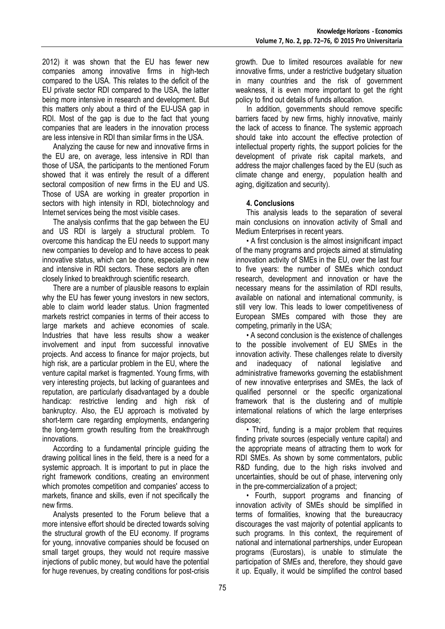2012) it was shown that the EU has fewer new companies among innovative firms in high-tech compared to the USA. This relates to the deficit of the EU private sector RDI compared to the USA, the latter being more intensive in research and development. But this matters only about a third of the EU-USA gap in RDI. Most of the gap is due to the fact that young companies that are leaders in the innovation process are less intensive in RDI than similar firms in the USA.

Analyzing the cause for new and innovative firms in the EU are, on average, less intensive in RDI than those of USA, the participants to the mentioned Forum showed that it was entirely the result of a different sectoral composition of new firms in the EU and US. Those of USA are working in greater proportion in sectors with high intensity in RDI, biotechnology and Internet services being the most visible cases.

The analysis confirms that the gap between the EU and US RDI is largely a structural problem. To overcome this handicap the EU needs to support many new companies to develop and to have access to peak innovative status, which can be done, especially in new and intensive in RDI sectors. These sectors are often closely linked to breakthrough scientific research.

There are a number of plausible reasons to explain why the EU has fewer young investors in new sectors, able to claim world leader status. Union fragmented markets restrict companies in terms of their access to large markets and achieve economies of scale. Industries that have less results show a weaker involvement and input from successful innovative projects. And access to finance for major projects, but high risk, are a particular problem in the EU, where the venture capital market is fragmented. Young firms, with very interesting projects, but lacking of guarantees and reputation, are particularly disadvantaged by a double handicap: restrictive lending and high risk of bankruptcy. Also, the EU approach is motivated by short-term care regarding employments, endangering the long-term growth resulting from the breakthrough innovations.

According to a fundamental principle guiding the drawing political lines in the field, there is a need for a systemic approach. It is important to put in place the right framework conditions, creating an environment which promotes competition and companies' access to markets, finance and skills, even if not specifically the new firms.

Analysts presented to the Forum believe that a more intensive effort should be directed towards solving the structural growth of the EU economy. If programs for young, innovative companies should be focused on small target groups, they would not require massive injections of public money, but would have the potential for huge revenues, by creating conditions for post-crisis

growth. Due to limited resources available for new innovative firms, under a restrictive budgetary situation in many countries and the risk of government weakness, it is even more important to get the right policy to find out details of funds allocation.

In addition, governments should remove specific barriers faced by new firms, highly innovative, mainly the lack of access to finance. The systemic approach should take into account the effective protection of intellectual property rights, the support policies for the development of private risk capital markets, and address the major challenges faced by the EU (such as climate change and energy, population health and aging, digitization and security).

# **4. Conclusions**

This analysis leads to the separation of several main conclusions on innovation activity of Small and Medium Enterprises in recent years.

• A first conclusion is the almost insignificant impact of the many programs and projects aimed at stimulating innovation activity of SMEs in the EU, over the last four to five years: the number of SMEs which conduct research, development and innovation or have the necessary means for the assimilation of RDI results, available on national and international community, is still very low. This leads to lower competitiveness of European SMEs compared with those they are competing, primarily in the USA;

• A second conclusion is the existence of challenges to the possible involvement of EU SMEs in the innovation activity. These challenges relate to diversity and inadequacy of national legislative and administrative frameworks governing the establishment of new innovative enterprises and SMEs, the lack of qualified personnel or the specific organizational framework that is the clustering and of multiple international relations of which the large enterprises dispose;

• Third, funding is a major problem that requires finding private sources (especially venture capital) and the appropriate means of attracting them to work for RDI SMEs. As shown by some commentators, public R&D funding, due to the high risks involved and uncertainties, should be out of phase, intervening only in the pre-commercialization of a project;

• Fourth, support programs and financing of innovation activity of SMEs should be simplified in terms of formalities, knowing that the bureaucracy discourages the vast majority of potential applicants to such programs. In this context, the requirement of national and international partnerships, under European programs (Eurostars), is unable to stimulate the participation of SMEs and, therefore, they should gave it up. Equally, it would be simplified the control based